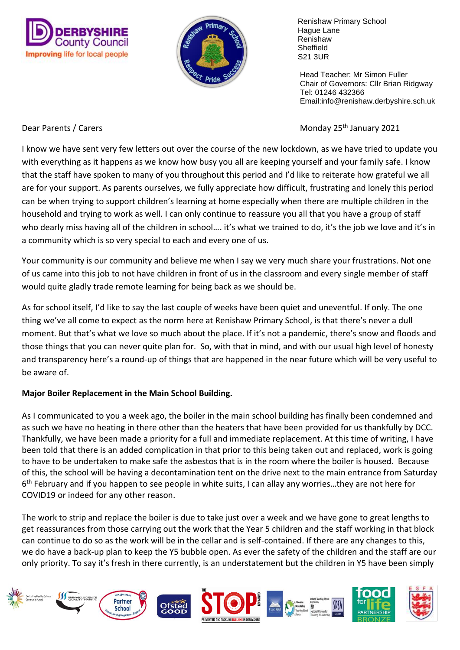



 Head Teacher: Mr Simon Fuller Chair of Governors: Cllr Brian Ridgway Tel: 01246 432366 Email:info@renishaw.derbyshire.sch.uk

Dear Parents / Carers **Monday 25<sup>th</sup> January 2021** 

I know we have sent very few letters out over the course of the new lockdown, as we have tried to update you with everything as it happens as we know how busy you all are keeping yourself and your family safe. I know that the staff have spoken to many of you throughout this period and I'd like to reiterate how grateful we all are for your support. As parents ourselves, we fully appreciate how difficult, frustrating and lonely this period can be when trying to support children's learning at home especially when there are multiple children in the household and trying to work as well. I can only continue to reassure you all that you have a group of staff who dearly miss having all of the children in school.... it's what we trained to do, it's the job we love and it's in a community which is so very special to each and every one of us.

Your community is our community and believe me when I say we very much share your frustrations. Not one of us came into this job to not have children in front of us in the classroom and every single member of staff would quite gladly trade remote learning for being back as we should be.

As for school itself, I'd like to say the last couple of weeks have been quiet and uneventful. If only. The one thing we've all come to expect as the norm here at Renishaw Primary School, is that there's never a dull moment. But that's what we love so much about the place. If it's not a pandemic, there's snow and floods and those things that you can never quite plan for. So, with that in mind, and with our usual high level of honesty and transparency here's a round-up of things that are happened in the near future which will be very useful to be aware of.

## **Major Boiler Replacement in the Main School Building.**

As I communicated to you a week ago, the boiler in the main school building has finally been condemned and as such we have no heating in there other than the heaters that have been provided for us thankfully by DCC. Thankfully, we have been made a priority for a full and immediate replacement. At this time of writing, I have been told that there is an added complication in that prior to this being taken out and replaced, work is going to have to be undertaken to make safe the asbestos that is in the room where the boiler is housed. Because of this, the school will be having a decontamination tent on the drive next to the main entrance from Saturday 6 th February and if you happen to see people in white suits, I can allay any worries…they are not here for COVID19 or indeed for any other reason.

The work to strip and replace the boiler is due to take just over a week and we have gone to great lengths to get reassurances from those carrying out the work that the Year 5 children and the staff working in that block can continue to do so as the work will be in the cellar and is self-contained. If there are any changes to this, we do have a back-up plan to keep the Y5 bubble open. As ever the safety of the children and the staff are our only priority. To say it's fresh in there currently, is an understatement but the children in Y5 have been simply

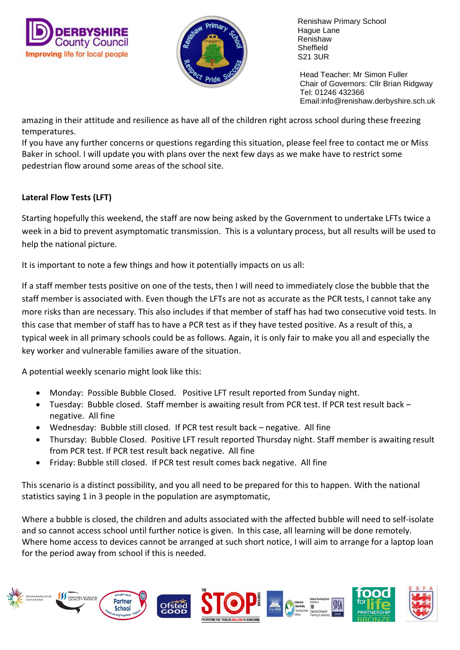



 Head Teacher: Mr Simon Fuller Chair of Governors: Cllr Brian Ridgway Tel: 01246 432366 Email:info@renishaw.derbyshire.sch.uk

amazing in their attitude and resilience as have all of the children right across school during these freezing temperatures.

If you have any further concerns or questions regarding this situation, please feel free to contact me or Miss Baker in school. I will update you with plans over the next few days as we make have to restrict some pedestrian flow around some areas of the school site.

# **Lateral Flow Tests (LFT)**

Starting hopefully this weekend, the staff are now being asked by the Government to undertake LFTs twice a week in a bid to prevent asymptomatic transmission. This is a voluntary process, but all results will be used to help the national picture.

It is important to note a few things and how it potentially impacts on us all:

If a staff member tests positive on one of the tests, then I will need to immediately close the bubble that the staff member is associated with. Even though the LFTs are not as accurate as the PCR tests, I cannot take any more risks than are necessary. This also includes if that member of staff has had two consecutive void tests. In this case that member of staff has to have a PCR test as if they have tested positive. As a result of this, a typical week in all primary schools could be as follows. Again, it is only fair to make you all and especially the key worker and vulnerable families aware of the situation.

A potential weekly scenario might look like this:

- Monday: Possible Bubble Closed. Positive LFT result reported from Sunday night.
- Tuesday: Bubble closed. Staff member is awaiting result from PCR test. If PCR test result back negative. All fine
- Wednesday: Bubble still closed. If PCR test result back negative. All fine
- Thursday: Bubble Closed. Positive LFT result reported Thursday night. Staff member is awaiting result from PCR test. If PCR test result back negative. All fine
- Friday: Bubble still closed. If PCR test result comes back negative. All fine

This scenario is a distinct possibility, and you all need to be prepared for this to happen. With the national statistics saying 1 in 3 people in the population are asymptomatic,

Where a bubble is closed, the children and adults associated with the affected bubble will need to self-isolate and so cannot access school until further notice is given. In this case, all learning will be done remotely. Where home access to devices cannot be arranged at such short notice, I will aim to arrange for a laptop loan for the period away from school if this is needed.

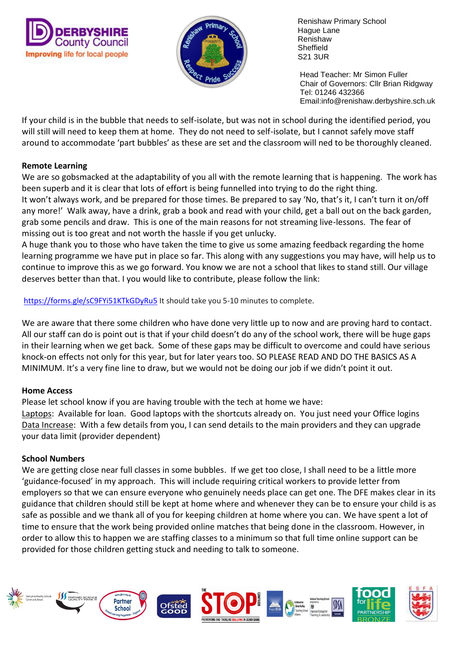



 Head Teacher: Mr Simon Fuller Chair of Governors: Cllr Brian Ridgway Tel: 01246 432366 Email:info@renishaw.derbyshire.sch.uk

If your child is in the bubble that needs to self-isolate, but was not in school during the identified period, you will still will need to keep them at home. They do not need to self-isolate, but I cannot safely move staff around to accommodate 'part bubbles' as these are set and the classroom will ned to be thoroughly cleaned.

### **Remote Learning**

We are so gobsmacked at the adaptability of you all with the remote learning that is happening. The work has been superb and it is clear that lots of effort is being funnelled into trying to do the right thing. It won't always work, and be prepared for those times. Be prepared to say 'No, that's it, I can't turn it on/off any more!' Walk away, have a drink, grab a book and read with your child, get a ball out on the back garden, grab some pencils and draw. This is one of the main reasons for not streaming live-lessons. The fear of missing out is too great and not worth the hassle if you get unlucky.

A huge thank you to those who have taken the time to give us some amazing feedback regarding the home learning programme we have put in place so far. This along with any suggestions you may have, will help us to continue to improve this as we go forward. You know we are not a school that likes to stand still. Our village deserves better than that. I you would like to contribute, please follow the link:

<https://forms.gle/sC9FYi51KTkGDyRu5> It should take you 5-10 minutes to complete.

We are aware that there some children who have done very little up to now and are proving hard to contact. All our staff can do is point out is that if your child doesn't do any of the school work, there will be huge gaps in their learning when we get back. Some of these gaps may be difficult to overcome and could have serious knock-on effects not only for this year, but for later years too. SO PLEASE READ AND DO THE BASICS AS A MINIMUM. It's a very fine line to draw, but we would not be doing our job if we didn't point it out.

## **Home Access**

Please let school know if you are having trouble with the tech at home we have: Laptops: Available for loan. Good laptops with the shortcuts already on. You just need your Office logins Data Increase: With a few details from you, I can send details to the main providers and they can upgrade your data limit (provider dependent)

### **School Numbers**

We are getting close near full classes in some bubbles. If we get too close, I shall need to be a little more 'guidance-focused' in my approach. This will include requiring critical workers to provide letter from employers so that we can ensure everyone who genuinely needs place can get one. The DFE makes clear in its guidance that children should still be kept at home where and whenever they can be to ensure your child is as safe as possible and we thank all of you for keeping children at home where you can. We have spent a lot of time to ensure that the work being provided online matches that being done in the classroom. However, in order to allow this to happen we are staffing classes to a minimum so that full time online support can be provided for those children getting stuck and needing to talk to someone.

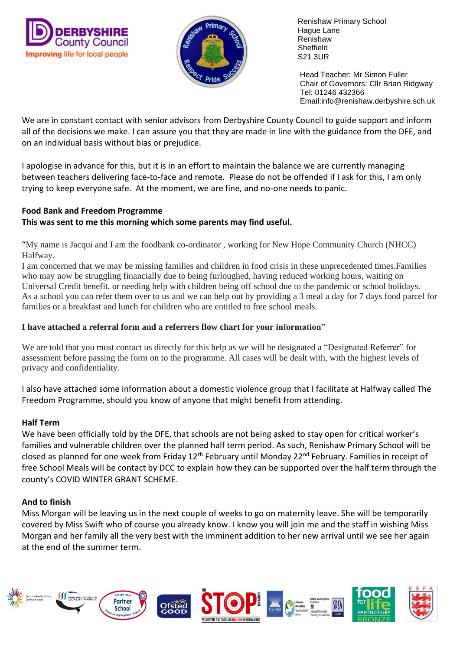



 Head Teacher: Mr Simon Fuller Chair of Governors: Cllr Brian Ridgway Tel: 01246 432366 Email:info@renishaw.derbyshire.sch.uk

We are in constant contact with senior advisors from Derbyshire County Council to guide support and inform all of the decisions we make. I can assure you that they are made in line with the guidance from the DFE, and on an individual basis without bias or prejudice.

I apologise in advance for this, but it is in an effort to maintain the balance we are currently managing between teachers delivering face-to-face and remote. Please do not be offended if I ask for this, I am only trying to keep everyone safe. At the moment, we are fine, and no-one needs to panic.

#### **Food Bank and Freedom Programme This was sent to me this morning which some parents may find useful.**

"My name is Jacqui and I am the foodbank co-ordinator , working for New Hope Community Church (NHCC) Halfway.

I am concerned that we may be missing families and children in food crisis in these unprecedented times.Families who may now be struggling financially due to being furloughed, having reduced working hours, waiting on Universal Credit benefit, or needing help with children being off school due to the pandemic or school holidays. As a school you can refer them over to us and we can help out by providing a 3 meal a day for 7 days food parcel for families or a breakfast and lunch for children who are entitled to free school meals.

## **I have attached a referral form and a referrers flow chart for your information"**

We are told that you must contact us directly for this help as we will be designated a "Designated Referrer" for assessment before passing the form on to the programme. All cases will be dealt with, with the highest levels of privacy and confidentiality.

I also have attached some information about a domestic violence group that I facilitate at Halfway called The Freedom Programme, should you know of anyone that might benefit from attending.

## **Half Term**

We have been officially told by the DFE, that schools are not being asked to stay open for critical worker's families and vulnerable children over the planned half term period. As such, Renishaw Primary School will be closed as planned for one week from Friday 12<sup>th</sup> February until Monday 22<sup>nd</sup> February. Families in receipt of free School Meals will be contact by DCC to explain how they can be supported over the half term through the county's COVID WINTER GRANT SCHEME.

## **And to finish**

Miss Morgan will be leaving us in the next couple of weeks to go on maternity leave. She will be temporarily covered by Miss Swift who of course you already know. I know you will join me and the staff in wishing Miss Morgan and her family all the very best with the imminent addition to her new arrival until we see her again at the end of the summer term.